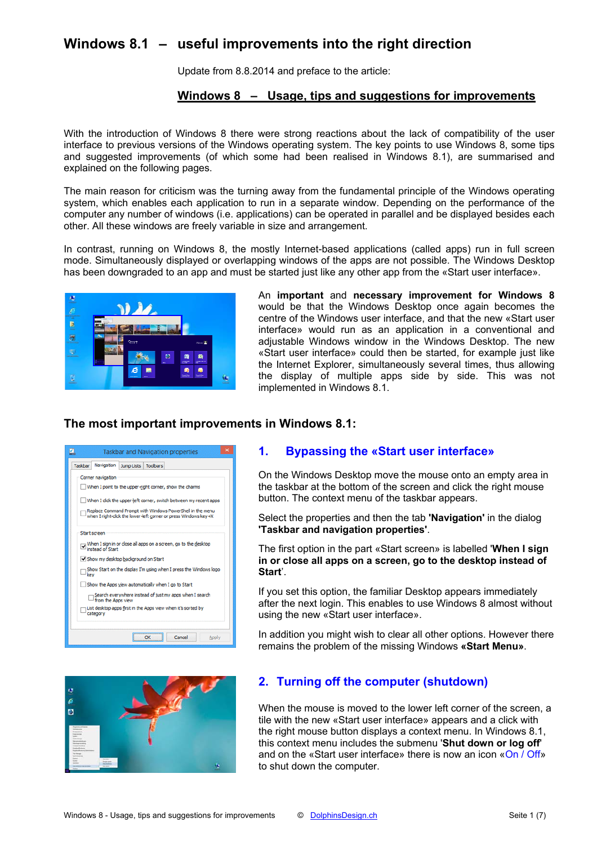# **Windows 8.1 – useful improvements into the right direction**

Update from 8.8.2014 and preface to the article:

## **Windows 8 – Usage, tips and suggestions for improvements**

With the introduction of Windows 8 there were strong reactions about the lack of compatibility of the user interface to previous versions of the Windows operating system. The key points to use Windows 8, some tips and suggested improvements (of which some had been realised in Windows 8.1), are summarised and explained on the following pages.

The main reason for criticism was the turning away from the fundamental principle of the Windows operating system, which enables each application to run in a separate window. Depending on the performance of the computer any number of windows (i.e. applications) can be operated in parallel and be displayed besides each other. All these windows are freely variable in size and arrangement.

In contrast, running on Windows 8, the mostly Internet-based applications (called apps) run in full screen mode. Simultaneously displayed or overlapping windows of the apps are not possible. The Windows Desktop has been downgraded to an app and must be started just like any other app from the «Start user interface».



An **important** and **necessary improvement for Windows 8** would be that the Windows Desktop once again becomes the centre of the Windows user interface, and that the new «Start user interface» would run as an application in a conventional and adjustable Windows window in the Windows Desktop. The new «Start user interface» could then be started, for example just like the Internet Explorer, simultaneously several times, thus allowing the display of multiple apps side by side. This was not implemented in Windows 8.1.

## **The most important improvements in Windows 8.1:**

| ×<br>⊴.<br><b>Taskbar and Navigation properties</b>                                                                          |
|------------------------------------------------------------------------------------------------------------------------------|
| Navigation Jump Lists Toolbars<br>Taskbar                                                                                    |
| Corner navigation                                                                                                            |
| When I point to the upper-right corner, show the charms                                                                      |
| When I click the upper-left corner, switch between my recent apps                                                            |
| Replace Command Prompt with Windows PowerShell in the menu<br>when I right-dick the lower-left corner or press Windows key+X |
| Start screen                                                                                                                 |
| ■ When I sign in or close all apps on a screen, go to the desktop<br>■ instead of Start                                      |
| Show my desktop background on Start                                                                                          |
| Show Start on the display I'm using when I press the Windows logo<br>key                                                     |
| Show the Apps view automatically when I go to Start                                                                          |
| Search everywhere instead of just my apps when I search<br>from the Apps view                                                |
| List desktop apps first in the Apps view when it's sorted by<br>category                                                     |
|                                                                                                                              |
| Cancel<br>Apply                                                                                                              |

# i.

#### **1. Bypassing the «Start user interface»**

On the Windows Desktop move the mouse onto an empty area in the taskbar at the bottom of the screen and click the right mouse button. The context menu of the taskbar appears.

Select the properties and then the tab **'Navigation'** in the dialog **'Taskbar and navigation properties'**.

The first option in the part «Start screen» is labelled '**When I sign in or close all apps on a screen, go to the desktop instead of Start**'.

If you set this option, the familiar Desktop appears immediately after the next login. This enables to use Windows 8 almost without using the new «Start user interface».

In addition you might wish to clear all other options. However there remains the problem of the missing Windows **«Start Menu»**.

# **2. Turning off the computer (shutdown)**

When the mouse is moved to the lower left corner of the screen, a tile with the new «Start user interface» appears and a click with the right mouse button displays a context menu. In Windows 8.1, this context menu includes the submenu '**Shut down or log off**' and on the «Start user interface» there is now an icon «On / Off» to shut down the computer.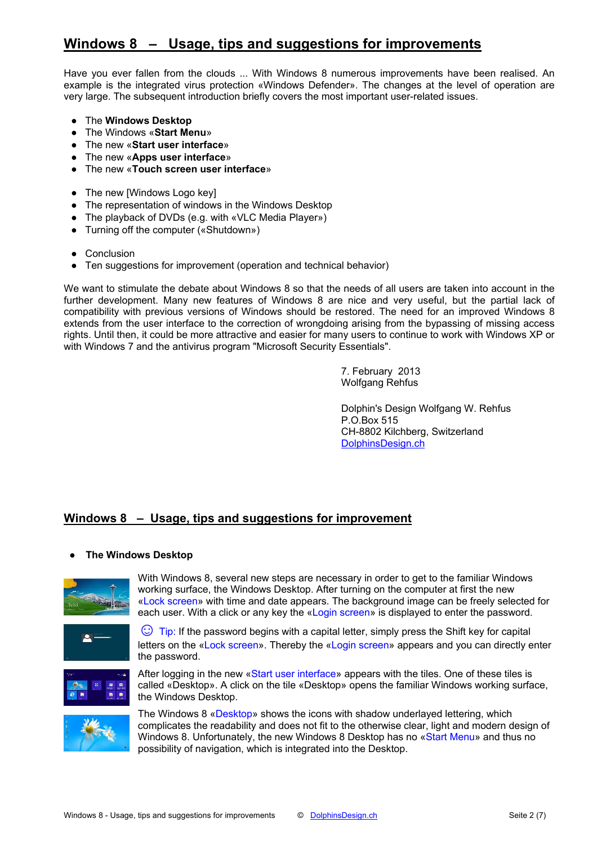# **Windows 8 – Usage, tips and suggestions for improvements**

Have you ever fallen from the clouds ... With Windows 8 numerous improvements have been realised. An example is the integrated virus protection «Windows Defender». The changes at the level of operation are very large. The subsequent introduction briefly covers the most important user-related issues.

- The **Windows Desktop**
- The Windows «**Start Menu**»
- The new «**Start user interface**»
- The new «**Apps user interface**»
- The new «**Touch screen user interface**»
- The new [Windows Logo key]
- The representation of windows in the Windows Desktop
- The playback of DVDs (e.g. with «VLC Media Player»)
- Turning off the computer («Shutdown»)
- Conclusion
- Ten suggestions for improvement (operation and technical behavior)

We want to stimulate the debate about Windows 8 so that the needs of all users are taken into account in the further development. Many new features of Windows 8 are nice and very useful, but the partial lack of compatibility with previous versions of Windows should be restored. The need for an improved Windows 8 extends from the user interface to the correction of wrongdoing arising from the bypassing of missing access rights. Until then, it could be more attractive and easier for many users to continue to work with Windows XP or with Windows 7 and the antivirus program "Microsoft Security Essentials".

> 7. February 2013 Wolfgang Rehfus

Dolphin's Design Wolfgang W. Rehfus P.O.Box 515 CH-8802 Kilchberg, Switzerland [DolphinsDesign.ch](http://dolphinsdesign.ch/)

# **Windows 8 – Usage, tips and suggestions for improvement**

#### **The Windows Desktop**



With Windows 8, several new steps are necessary in order to get to the familiar Windows working surface, the Windows Desktop. After turning on the computer at first the new «Lock screen» with time and date appears. The background image can be freely selected for each user. With a click or any key the «Login screen» is displayed to enter the password.



 $\odot$  Tip: If the password begins with a capital letter, simply press the Shift key for capital letters on the «Lock screen». Thereby the «Login screen» appears and you can directly enter the password.



After logging in the new «Start user interface» appears with the tiles. One of these tiles is called «Desktop». A click on the tile «Desktop» opens the familiar Windows working surface, the Windows Desktop.



The Windows 8 «Desktop» shows the icons with shadow underlayed lettering, which complicates the readability and does not fit to the otherwise clear, light and modern design of Windows 8. Unfortunately, the new Windows 8 Desktop has no «Start Menu» and thus no possibility of navigation, which is integrated into the Desktop.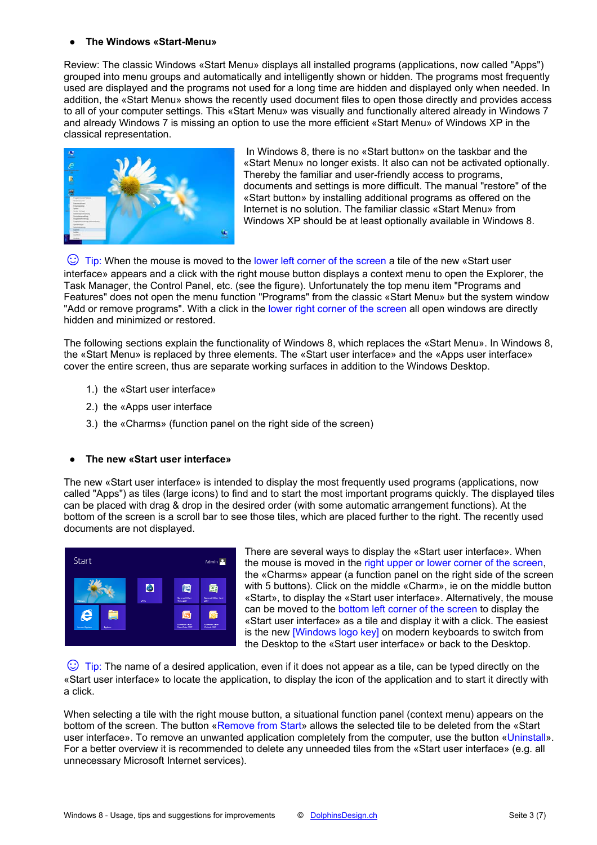#### **● The Windows «Start-Menu»**

Review: The classic Windows «Start Menu» displays all installed programs (applications, now called "Apps") grouped into menu groups and automatically and intelligently shown or hidden. The programs most frequently used are displayed and the programs not used for a long time are hidden and displayed only when needed. In addition, the «Start Menu» shows the recently used document files to open those directly and provides access to all of your computer settings. This «Start Menu» was visually and functionally altered already in Windows 7 and already Windows 7 is missing an option to use the more efficient «Start Menu» of Windows XP in the classical representation.



 In Windows 8, there is no «Start button» on the taskbar and the «Start Menu» no longer exists. It also can not be activated optionally. Thereby the familiar and user-friendly access to programs, documents and settings is more difficult. The manual "restore" of the «Start button» by installing additional programs as offered on the Internet is no solution. The familiar classic «Start Menu» from Windows XP should be at least optionally available in Windows 8.

 $\odot$  Tip: When the mouse is moved to the lower left corner of the screen a tile of the new «Start user interface» appears and a click with the right mouse button displays a context menu to open the Explorer, the Task Manager, the Control Panel, etc. (see the figure). Unfortunately the top menu item "Programs and Features" does not open the menu function "Programs" from the classic «Start Menu» but the system window "Add or remove programs". With a click in the lower right corner of the screen all open windows are directly hidden and minimized or restored.

The following sections explain the functionality of Windows 8, which replaces the «Start Menu». In Windows 8, the «Start Menu» is replaced by three elements. The «Start user interface» and the «Apps user interface» cover the entire screen, thus are separate working surfaces in addition to the Windows Desktop.

- 1.) the «Start user interface»
- 2.) the «Apps user interface
- 3.) the «Charms» (function panel on the right side of the screen)

#### **● The new «Start user interface»**

The new «Start user interface» is intended to display the most frequently used programs (applications, now called "Apps") as tiles (large icons) to find and to start the most important programs quickly. The displayed tiles can be placed with drag & drop in the desired order (with some automatic arrangement functions). At the bottom of the screen is a scroll bar to see those tiles, which are placed further to the right. The recently used documents are not displayed.



There are several ways to display the «Start user interface». When the mouse is moved in the right upper or lower corner of the screen, the «Charms» appear (a function panel on the right side of the screen with 5 buttons). Click on the middle «Charm», ie on the middle button «Start», to display the «Start user interface». Alternatively, the mouse can be moved to the bottom left corner of the screen to display the «Start user interface» as a tile and display it with a click. The easiest is the new **[Windows logo key]** on modern keyboards to switch from the Desktop to the «Start user interface» or back to the Desktop.

 $\odot$  Tip: The name of a desired application, even if it does not appear as a tile, can be typed directly on the «Start user interface» to locate the application, to display the icon of the application and to start it directly with a click.

When selecting a tile with the right mouse button, a situational function panel (context menu) appears on the bottom of the screen. The button «Remove from Start» allows the selected tile to be deleted from the «Start user interface». To remove an unwanted application completely from the computer, use the button «Uninstall». For a better overview it is recommended to delete any unneeded tiles from the «Start user interface» (e.g. all unnecessary Microsoft Internet services).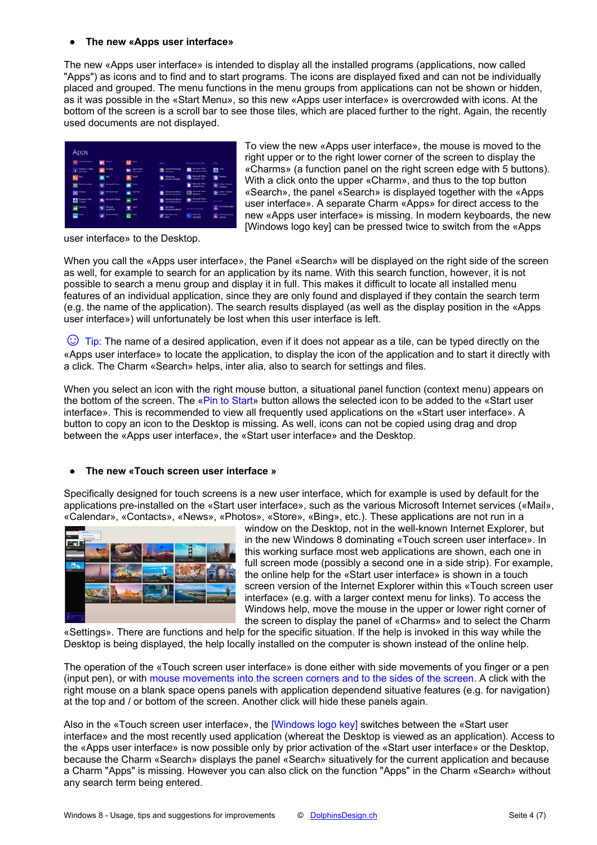#### **● The new «Apps user interface»**

The new «Apps user interface» is intended to display all the installed programs (applications, now called "Apps") as icons and to find and to start programs. The icons are displayed fixed and can not be individually placed and grouped. The menu functions in the menu groups from applications can not be shown or hidden, as it was possible in the «Start Menu», so this new «Apps user interface» is overcrowded with icons. At the bottom of the screen is a scroll bar to see those tiles, which are placed further to the right. Again, the recently used documents are not displayed.

| <b>The Association &amp;</b> | <b>D</b>              | $\blacksquare$   | <b>SAGE</b>            | Manual City of Hill     | <b>SERVICE</b>                  |
|------------------------------|-----------------------|------------------|------------------------|-------------------------|---------------------------------|
| $\bullet$ <i>Selection</i>   | AA <sup>10000</sup>   | $\blacksquare$   | <b>EXAMPLES</b>        | <b>自</b> [ ]            | $\blacksquare$                  |
| $\mathbf{p}$                 | ≖≃                    | 图                | <b>B</b> Contract      | <b>Exp</b> Monday Con-  | <b>B</b> 100                    |
| <b>Comment</b>               | <b>Contract Acres</b> | $\mathbf{m}$ $-$ | Gamb                   | $\blacksquare$          | $\frac{1}{2}$ and $\frac{1}{2}$ |
| <b>CO</b> leave              | <sup>Month</sup> ies  | $\bullet$        | <b>D</b> Introduced    | <b>EXP</b> begins the   | <b>Carl Links</b>               |
| $\blacksquare$               | $\bullet$ -------     | $\blacksquare$   | <b>D</b> Instantantian | <b>De Motor Disc</b>    | <b>Gradual Add</b>              |
| <b>Số</b> Transac            | $\bullet -$           | $\blacksquare$   | <b>Distances</b>       | <b>Normal Street of</b> | A Winnipeg                      |
| 四半                           | <b>Comment Street</b> | $\alpha$ –       | $P$ because            | <b>G</b> 222            | A WC Helix plane                |

user interface» to the Desktop.

To view the new «Apps user interface», the mouse is moved to the right upper or to the right lower corner of the screen to display the «Charms» (a function panel on the right screen edge with 5 buttons). With a click onto the upper «Charm», and thus to the top button «Search», the panel «Search» is displayed together with the «Apps user interface». A separate Charm «Apps» for direct access to the new «Apps user interface» is missing. In modern keyboards, the new [Windows logo key] can be pressed twice to switch from the «Apps

When you call the «Apps user interface», the Panel «Search» will be displayed on the right side of the screen as well, for example to search for an application by its name. With this search function, however, it is not possible to search a menu group and display it in full. This makes it difficult to locate all installed menu features of an individual application, since they are only found and displayed if they contain the search term (e.g. the name of the application). The search results displayed (as well as the display position in the «Apps user interface») will unfortunately be lost when this user interface is left.

 $\odot$  Tip: The name of a desired application, even if it does not appear as a tile, can be typed directly on the «Apps user interface» to locate the application, to display the icon of the application and to start it directly with a click. The Charm «Search» helps, inter alia, also to search for settings and files.

When you select an icon with the right mouse button, a situational panel function (context menu) appears on the bottom of the screen. The «Pin to Start» button allows the selected icon to be added to the «Start user interface». This is recommended to view all frequently used applications on the «Start user interface». A button to copy an icon to the Desktop is missing. As well, icons can not be copied using drag and drop between the «Apps user interface», the «Start user interface» and the Desktop.

#### **● The new «Touch screen user interface »**

Specifically designed for touch screens is a new user interface, which for example is used by default for the applications pre-installed on the «Start user interface», such as the various Microsoft Internet services («Mail», «Calendar», «Contacts», «News», «Photos», «Store», «Bing», etc.). These applications are not run in a



window on the Desktop, not in the well-known Internet Explorer, but in the new Windows 8 dominating «Touch screen user interface». In this working surface most web applications are shown, each one in full screen mode (possibly a second one in a side strip). For example, the online help for the «Start user interface» is shown in a touch screen version of the Internet Explorer within this «Touch screen user interface» (e.g. with a larger context menu for links). To access the Windows help, move the mouse in the upper or lower right corner of the screen to display the panel of «Charms» and to select the Charm

«Settings». There are functions and help for the specific situation. If the help is invoked in this way while the Desktop is being displayed, the help locally installed on the computer is shown instead of the online help.

The operation of the «Touch screen user interface» is done either with side movements of you finger or a pen (input pen), or with mouse movements into the screen corners and to the sides of the screen. A click with the right mouse on a blank space opens panels with application dependend situative features (e.g. for navigation) at the top and / or bottom of the screen. Another click will hide these panels again.

Also in the «Touch screen user interface», the [Windows logo key] switches between the «Start user interface» and the most recently used application (whereat the Desktop is viewed as an application). Access to the «Apps user interface» is now possible only by prior activation of the «Start user interface» or the Desktop, because the Charm «Search» displays the panel «Search» situatively for the current application and because a Charm "Apps" is missing. However you can also click on the function "Apps" in the Charm «Search» without any search term being entered.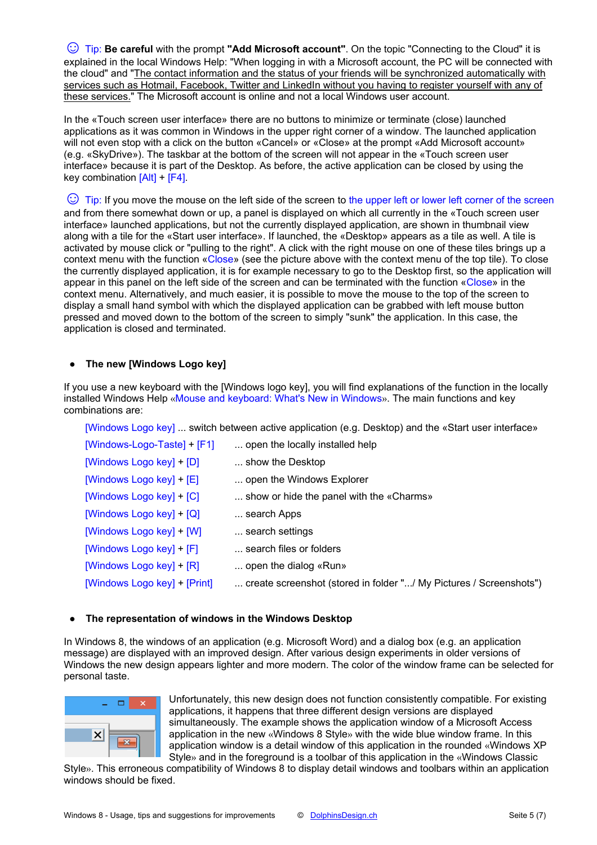[☺](http://dolphinsdesign.ch/)Tip: **Be careful** with the prompt **"Add Microsoft account"**. On the topic "Connecting to the Cloud" it is explained in the local Windows Help: "When logging in with a Microsoft account, the PC will be connected with the cloud" and "The contact information and the status of your friends will be synchronized automatically with services such as Hotmail, Facebook, Twitter and LinkedIn without you having to register yourself with any of these services." The Microsoft account is online and not a local Windows user account.

In the «Touch screen user interface» there are no buttons to minimize or terminate (close) launched applications as it was common in Windows in the upper right corner of a window. The launched application will not even stop with a click on the button «Cancel» or «Close» at the prompt «Add Microsoft account» (e.g. «SkyDrive»). The taskbar at the bottom of the screen will not appear in the «Touch screen user interface» because it is part of the Desktop. As before, the active application can be closed by using the key combination  $[Alt]$  +  $[F4]$ .

 $\heartsuit$  Tip: If you move the mouse on the left side of the screen to the upper left or lower left corner of the screen and from there somewhat down or up, a panel is displayed on which all currently in the «Touch screen user interface» launched applications, but not the currently displayed application, are shown in thumbnail view along with a tile for the «Start user interface». If launched, the «Desktop» appears as a tile as well. A tile is activated by mouse click or "pulling to the right". A click with the right mouse on one of these tiles brings up a context menu with the function «Close» (see the picture above with the context menu of the top tile). To close the currently displayed application, it is for example necessary to go to the Desktop first, so the application will appear in this panel on the left side of the screen and can be terminated with the function «Close» in the context menu. Alternatively, and much easier, it is possible to move the mouse to the top of the screen to display a small hand symbol with which the displayed application can be grabbed with left mouse button pressed and moved down to the bottom of the screen to simply "sunk" the application. In this case, the application is closed and terminated.

#### **The new [Windows Logo key]**

If you use a new keyboard with the [Windows logo key], you will find explanations of the function in the locally installed Windows Help «Mouse and keyboard: What's New in Windows». The main functions and key combinations are:

[Windows Logo key] ... switch between active application (e.g. Desktop) and the «Start user interface»

| [Windows-Logo-Taste] + $[F1]$ | open the locally installed help                                    |
|-------------------------------|--------------------------------------------------------------------|
| [Windows Logo key] + [D]      | show the Desktop                                                   |
| [Windows Logo key] + [E]      | open the Windows Explorer                                          |
| [Windows Logo key] $+$ [C]    | show or hide the panel with the «Charms»                           |
| [Windows Logo key] + [Q]      | search Apps                                                        |
| [Windows Logo key] + [W]      | search settings                                                    |
| [Windows Logo key] + [F]      | search files or folders                                            |
| [Windows Logo key] + [R]      | open the dialog «Run»                                              |
| [Windows Logo key] + [Print]  | create screenshot (stored in folder "/ My Pictures / Screenshots") |

#### **● The representation of windows in the Windows Desktop**

In Windows 8, the windows of an application (e.g. Microsoft Word) and a dialog box (e.g. an application message) are displayed with an improved design. After various design experiments in older versions of Windows the new design appears lighter and more modern. The color of the window frame can be selected for personal taste.



Unfortunately, this new design does not function consistently compatible. For existing applications, it happens that three different design versions are displayed simultaneously. The example shows the application window of a Microsoft Access application in the new «Windows 8 Style» with the wide blue window frame. In this application window is a detail window of this application in the rounded «Windows XP Style» and in the foreground is a toolbar of this application in the «Windows Classic

Style». This erroneous compatibility of Windows 8 to display detail windows and toolbars within an application windows should be fixed.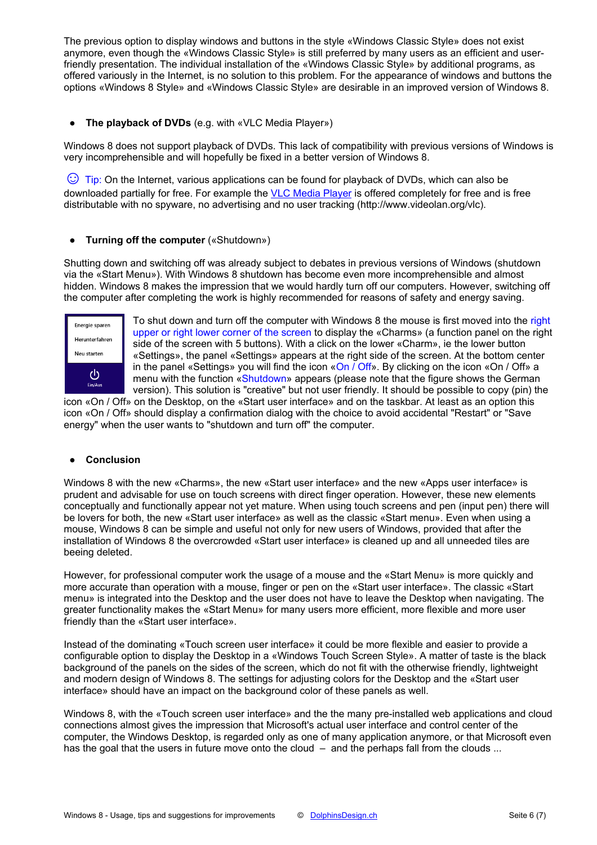The previous option to display windows and buttons in the style «Windows Classic Style» does not exist anymore, even though the «Windows Classic Style» is still preferred by many users as an efficient and userfriendly presentation. The individual installation of the «Windows Classic Style» by additional programs, as offered variously in the Internet, is no solution to this problem. For the appearance of windows and buttons the options «Windows 8 Style» and «Windows Classic Style» are desirable in an improved version of Windows 8.

#### **● The playback of DVDs** (e.g. with «VLC Media Player»)

Windows 8 does not support playback of DVDs. This lack of compatibility with previous versions of Windows is very incomprehensible and will hopefully be fixed in a better version of Windows 8.

 $\odot$  Tip: On the Internet, various applications can be found for playback of DVDs, which can also be downloaded partially for free. For example the [VLC Media Player](http://www.videolan.org/vlc) is offered completely for free and is free distributable with no spyware, no advertising and no user tracking [\(http://www.videolan.org/vlc](http://www.videolan.org/vlc)).

#### **● Turning off the computer** («Shutdown»)

Shutting down and switching off was already subject to debates in previous versions of Windows (shutdown via the «Start Menu»). With Windows 8 shutdown has become even more incomprehensible and almost hidden. Windows 8 makes the impression that we would hardly turn off our computers. However, switching off the computer after completing the work is highly recommended for reasons of safety and energy saving.



To shut down and turn off the computer with Windows 8 the mouse is first moved into the right upper or right lower corner of the screen to display the «Charms» (a function panel on the right side of the screen with 5 buttons). With a click on the lower «Charm», ie the lower button «Settings», the panel «Settings» appears at the right side of the screen. At the bottom center in the panel «Settings» you will find the icon «On  $\overline{O}$  Off». By clicking on the icon «On  $\overline{O}$  Off» a menu with the function «Shutdown» appears (please note that the figure shows the German version). This solution is "creative" but not user friendly. It should be possible to copy (pin) the

icon «On / Off» on the Desktop, on the «Start user interface» and on the taskbar. At least as an option this icon «On / Off» should display a confirmation dialog with the choice to avoid accidental "Restart" or "Save energy" when the user wants to "shutdown and turn off" the computer.

#### **● Conclusion**

Windows 8 with the new «Charms», the new «Start user interface» and the new «Apps user interface» is prudent and advisable for use on touch screens with direct finger operation. However, these new elements conceptually and functionally appear not yet mature. When using touch screens and pen (input pen) there will be lovers for both, the new «Start user interface» as well as the classic «Start menu». Even when using a mouse, Windows 8 can be simple and useful not only for new users of Windows, provided that after the installation of Windows 8 the overcrowded «Start user interface» is cleaned up and all unneeded tiles are beeing deleted.

However, for professional computer work the usage of a mouse and the «Start Menu» is more quickly and more accurate than operation with a mouse, finger or pen on the «Start user interface». The classic «Start menu» is integrated into the Desktop and the user does not have to leave the Desktop when navigating. The greater functionality makes the «Start Menu» for many users more efficient, more flexible and more user friendly than the «Start user interface».

Instead of the dominating «Touch screen user interface» it could be more flexible and easier to provide a configurable option to display the Desktop in a «Windows Touch Screen Style». A matter of taste is the black background of the panels on the sides of the screen, which do not fit with the otherwise friendly, lightweight and modern design of Windows 8. The settings for adjusting colors for the Desktop and the «Start user interface» should have an impact on the background color of these panels as well.

Windows 8, with the «Touch screen user interface» and the the many pre-installed web applications and cloud connections almost gives the impression that Microsoft's actual user interface and control center of the computer, the Windows Desktop, is regarded only as one of many application anymore, or that Microsoft even has the goal that the users in future move onto the cloud – and the perhaps fall from the clouds ...